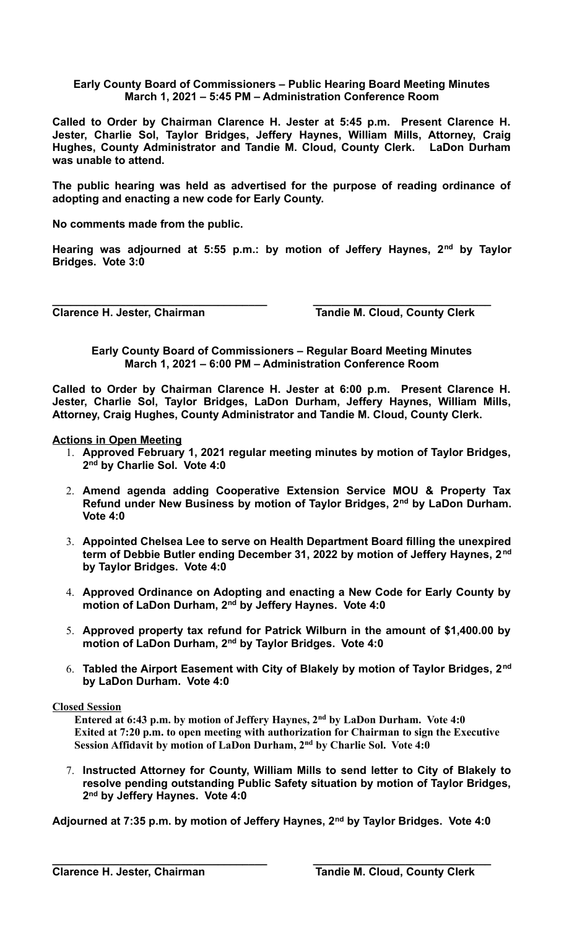## **Early County Board of Commissioners – Public Hearing Board Meeting Minutes March 1, 2021 – 5:45 PM – Administration Conference Room**

**Called to Order by Chairman Clarence H. Jester at 5:45 p.m. Present Clarence H. Jester, Charlie Sol, Taylor Bridges, Jeffery Haynes, William Mills, Attorney, Craig Hughes, County Administrator and Tandie M. Cloud, County Clerk. LaDon Durham was unable to attend.**

**The public hearing was held as advertised for the purpose of reading ordinance of adopting and enacting a new code for Early County.**

**No comments made from the public.**

**Hearing was adjourned at 5:55 p.m.: by motion of Jeffery Haynes, 2nd by Taylor Bridges. Vote 3:0**

**\_\_\_\_\_\_\_\_\_\_\_\_\_\_\_\_\_\_\_\_\_\_\_\_\_\_\_\_\_\_\_\_\_\_\_ \_\_\_\_\_\_\_\_\_\_\_\_\_\_\_\_\_\_\_\_\_\_\_\_\_\_\_\_\_**

Clarence H. Jester, Chairman **Tandie M. Cloud, County Clerk** 

**Early County Board of Commissioners – Regular Board Meeting Minutes March 1, 2021 – 6:00 PM – Administration Conference Room**

**Called to Order by Chairman Clarence H. Jester at 6:00 p.m. Present Clarence H. Jester, Charlie Sol, Taylor Bridges, LaDon Durham, Jeffery Haynes, William Mills, Attorney, Craig Hughes, County Administrator and Tandie M. Cloud, County Clerk.** 

## **Actions in Open Meeting**

- 1. **Approved February 1, 2021 regular meeting minutes by motion of Taylor Bridges, 2 nd by Charlie Sol. Vote 4:0**
- 2. **Amend agenda adding Cooperative Extension Service MOU & Property Tax Refund under New Business by motion of Taylor Bridges, 2nd by LaDon Durham. Vote 4:0**
- 3. **Appointed Chelsea Lee to serve on Health Department Board filling the unexpired term of Debbie Butler ending December 31, 2022 by motion of Jeffery Haynes, 2nd by Taylor Bridges. Vote 4:0**
- 4. **Approved Ordinance on Adopting and enacting a New Code for Early County by motion of LaDon Durham, 2nd by Jeffery Haynes. Vote 4:0**
- 5. **Approved property tax refund for Patrick Wilburn in the amount of \$1,400.00 by motion of LaDon Durham, 2nd by Taylor Bridges. Vote 4:0**
- 6. **Tabled the Airport Easement with City of Blakely by motion of Taylor Bridges, 2nd by LaDon Durham. Vote 4:0**

## **Closed Session**

 **Entered at 6:43 p.m. by motion of Jeffery Haynes, 2nd by LaDon Durham. Vote 4:0 Exited at 7:20 p.m. to open meeting with authorization for Chairman to sign the Executive Session Affidavit by motion of LaDon Durham, 2nd by Charlie Sol. Vote 4:0**

7. **Instructed Attorney for County, William Mills to send letter to City of Blakely to resolve pending outstanding Public Safety situation by motion of Taylor Bridges, 2 nd by Jeffery Haynes. Vote 4:0**

**Adjourned at 7:35 p.m. by motion of Jeffery Haynes, 2nd by Taylor Bridges. Vote 4:0**

**\_\_\_\_\_\_\_\_\_\_\_\_\_\_\_\_\_\_\_\_\_\_\_\_\_\_\_\_\_\_\_\_\_\_\_ \_\_\_\_\_\_\_\_\_\_\_\_\_\_\_\_\_\_\_\_\_\_\_\_\_\_\_\_\_**